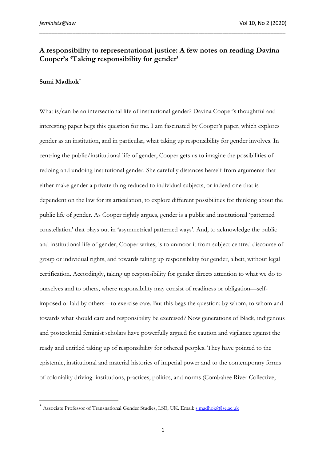## **A responsibility to representational justice: A few notes on reading Davina Cooper's 'Taking responsibility for gender'**

\_\_\_\_\_\_\_\_\_\_\_\_\_\_\_\_\_\_\_\_\_\_\_\_\_\_\_\_\_\_\_\_\_\_\_\_\_\_\_\_\_\_\_\_\_\_\_\_\_\_\_\_\_\_\_\_\_\_\_\_\_\_\_\_\_\_\_\_\_\_\_\_\_\_\_\_\_\_\_\_\_\_

## **Sumi Madhok[\\*](#page-0-0)**

What is/can be an intersectional life of institutional gender? Davina Cooper's thoughtful and interesting paper begs this question for me. I am fascinated by Cooper's paper, which explores gender as an institution, and in particular, what taking up responsibility for gender involves. In centring the public/institutional life of gender, Cooper gets us to imagine the possibilities of redoing and undoing institutional gender. She carefully distances herself from arguments that either make gender a private thing reduced to individual subjects, or indeed one that is dependent on the law for its articulation, to explore different possibilities for thinking about the public life of gender. As Cooper rightly argues, gender is a public and institutional 'patterned constellation' that plays out in 'asymmetrical patterned ways'. And, to acknowledge the public and institutional life of gender, Cooper writes, is to unmoor it from subject centred discourse of group or individual rights, and towards taking up responsibility for gender, albeit, without legal certification. Accordingly, taking up responsibility for gender directs attention to what we do to ourselves and to others, where responsibility may consist of readiness or obligation—selfimposed or laid by others—to exercise care. But this begs the question: by whom, to whom and towards what should care and responsibility be exercised? Now generations of Black, indigenous and postcolonial feminist scholars have powerfully argued for caution and vigilance against the ready and entitled taking up of responsibility for othered peoples. They have pointed to the epistemic, institutional and material histories of imperial power and to the contemporary forms of coloniality driving institutions, practices, politics, and norms (Combahee River Collective,

<span id="page-0-0"></span>Associate Professor of Transnational Gender Studies, LSE, UK. Email: [s.madhok@lse.ac.uk](mailto:s.madhok@lse.ac.uk)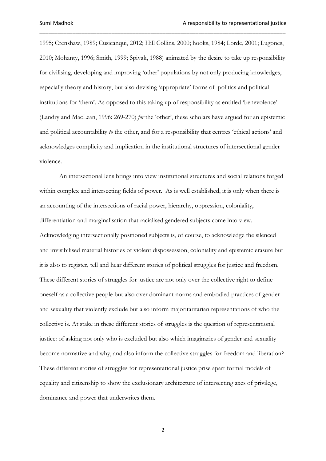1995; Crenshaw, 1989; Cusicanqui, 2012; Hill Collins, 2000; hooks, 1984; Lorde, 2001; Lugones, 2010; Mohanty, 1996; Smith, 1999; Spivak, 1988) animated by the desire to take up responsibility for civilising, developing and improving 'other' populations by not only producing knowledges, especially theory and history, but also devising 'appropriate' forms of politics and political institutions for 'them'. As opposed to this taking up of responsibility as entitled 'benevolence' (Landry and MacLean, 1996: 269-270) *for* the 'other', these scholars have argued for an epistemic and political accountability *to* the other, and for a responsibility that centres 'ethical actions' and acknowledges complicity and implication in the institutional structures of intersectional gender violence.

\_\_\_\_\_\_\_\_\_\_\_\_\_\_\_\_\_\_\_\_\_\_\_\_\_\_\_\_\_\_\_\_\_\_\_\_\_\_\_\_\_\_\_\_\_\_\_\_\_\_\_\_\_\_\_\_\_\_\_\_\_\_\_\_\_\_\_\_\_\_\_\_\_\_\_\_\_\_\_\_\_\_

An intersectional lens brings into view institutional structures and social relations forged within complex and intersecting fields of power. As is well established, it is only when there is an accounting of the intersections of racial power, hierarchy, oppression, coloniality, differentiation and marginalisation that racialised gendered subjects come into view. Acknowledging intersectionally positioned subjects is, of course, to acknowledge the silenced and invisibilised material histories of violent dispossession, coloniality and epistemic erasure but it is also to register, tell and hear different stories of political struggles for justice and freedom. These different stories of struggles for justice are not only over the collective right to define oneself as a collective people but also over dominant norms and embodied practices of gender and sexuality that violently exclude but also inform majoritaritarian representations of who the collective is. At stake in these different stories of struggles is the question of representational justice: of asking not only who is excluded but also which imaginaries of gender and sexuality become normative and why, and also inform the collective struggles for freedom and liberation? These different stories of struggles for representational justice prise apart formal models of equality and citizenship to show the exclusionary architecture of intersecting axes of privilege, dominance and power that underwrites them.

2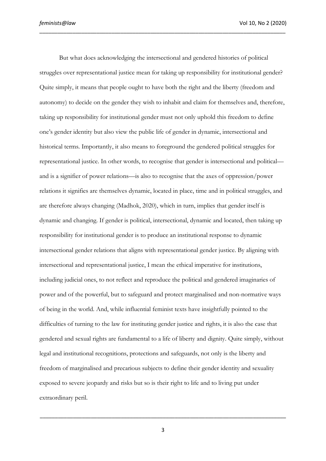*feminists@law* Vol 10, No 2 (2020)

But what does acknowledging the intersectional and gendered histories of political struggles over representational justice mean for taking up responsibility for institutional gender? Quite simply, it means that people ought to have both the right and the liberty (freedom and autonomy) to decide on the gender they wish to inhabit and claim for themselves and, therefore, taking up responsibility for institutional gender must not only uphold this freedom to define one's gender identity but also view the public life of gender in dynamic, intersectional and historical terms. Importantly, it also means to foreground the gendered political struggles for representational justice. In other words, to recognise that gender is intersectional and political and is a signifier of power relations—is also to recognise that the axes of oppression/power relations it signifies are themselves dynamic, located in place, time and in political struggles, and are therefore always changing (Madhok, 2020), which in turn, implies that gender itself is dynamic and changing. If gender is political, intersectional, dynamic and located, then taking up responsibility for institutional gender is to produce an institutional response to dynamic intersectional gender relations that aligns with representational gender justice. By aligning with intersectional and representational justice, I mean the ethical imperative for institutions, including judicial ones, to not reflect and reproduce the political and gendered imaginaries of power and of the powerful, but to safeguard and protect marginalised and non-normative ways of being in the world. And, while influential feminist texts have insightfully pointed to the difficulties of turning to the law for instituting gender justice and rights, it is also the case that gendered and sexual rights are fundamental to a life of liberty and dignity. Quite simply, without legal and institutional recognitions, protections and safeguards, not only is the liberty and freedom of marginalised and precarious subjects to define their gender identity and sexuality exposed to severe jeopardy and risks but so is their right to life and to living put under extraordinary peril.

\_\_\_\_\_\_\_\_\_\_\_\_\_\_\_\_\_\_\_\_\_\_\_\_\_\_\_\_\_\_\_\_\_\_\_\_\_\_\_\_\_\_\_\_\_\_\_\_\_\_\_\_\_\_\_\_\_\_\_\_\_\_\_\_\_\_\_\_\_\_\_\_\_\_\_\_\_\_\_\_\_\_

3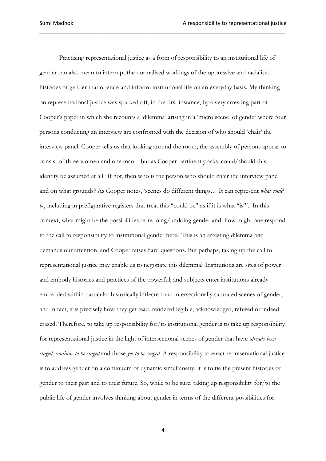Practising representational justice as a form of responsibility to an institutional life of gender can also mean to interrupt the normalised workings of the oppressive and racialised histories of gender that operate and inform institutional life on an everyday basis. My thinking on representational justice was sparked off, in the first instance, by a very arresting part of Cooper's paper in which she recounts a 'dilemma' arising in a 'micro scene' of gender where four persons conducting an interview are confronted with the decision of who should 'chair' the interview panel. Cooper tells us that looking around the room, the assembly of persons appear to consist of three women and one man—but as Cooper pertinently asks: could/should this identity be assumed at all? If not, then who is the person who should chair the interview panel and on what grounds? As Cooper notes, 'scenes do different things… It can represent *what could be*, including in prefigurative registers that treat this "could be" as if it is what "is"'. In this context, what might be the possibilities of redoing/undoing gender and how might one respond to the call to responsibility to institutional gender here? This is an arresting dilemma and demands our attention, and Cooper raises hard questions. But perhaps, taking up the call to representational justice may enable us to negotiate this dilemma? Institutions are sites of power and embody histories and practices of the powerful; and subjects enter institutions already embedded within particular historically inflected and intersectionally saturated scenes of gender, and in fact, it is precisely how they get read, rendered legible, acknowledged, refused or indeed erased. Therefore, to take up responsibility for/to institutional gender is to take up responsibility for representational justice in the light of intersectional scenes of gender that have *already been staged, continue to be staged* and those *yet to be staged.* A responsibility to enact representational justice is to address gender on a continuum of dynamic simultaneity; it is to tie the present histories of gender to their past and to their future. So, while to be sure, taking up responsibility for/to the public life of gender involves thinking about gender in terms of the different possibilities for

\_\_\_\_\_\_\_\_\_\_\_\_\_\_\_\_\_\_\_\_\_\_\_\_\_\_\_\_\_\_\_\_\_\_\_\_\_\_\_\_\_\_\_\_\_\_\_\_\_\_\_\_\_\_\_\_\_\_\_\_\_\_\_\_\_\_\_\_\_\_\_\_\_\_\_\_\_\_\_\_\_\_

4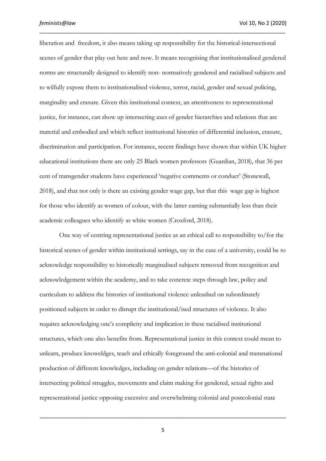liberation and freedom, it also means taking up responsibility for the historical-intersectional scenes of gender that play out here and now. It means recognising that institutionalised gendered norms are structurally designed to identify non- normatively gendered and racialised subjects and to wilfully expose them to institutionalised violence, terror, racial, gender and sexual policing, marginality and erasure*.* Given this institutional context, an attentiveness to representational justice, for instance, can show up intersecting axes of gender hierarchies and relations that are material and embodied and which reflect institutional histories of differential inclusion, erasure, discrimination and participation. For instance, recent findings have shown that within UK higher educational institutions there are only 25 Black women professors (Guardian, 2018), that 36 per cent of transgender students have experienced 'negative comments or conduct' (Stonewall, 2018), and that not only is there an existing gender wage gap, but that this wage gap is highest for those who identify as women of colour, with the latter earning substantially less than their academic colleagues who identify as white women (Croxford, 2018).

\_\_\_\_\_\_\_\_\_\_\_\_\_\_\_\_\_\_\_\_\_\_\_\_\_\_\_\_\_\_\_\_\_\_\_\_\_\_\_\_\_\_\_\_\_\_\_\_\_\_\_\_\_\_\_\_\_\_\_\_\_\_\_\_\_\_\_\_\_\_\_\_\_\_\_\_\_\_\_\_\_\_

One way of centring representational justice as an ethical call to responsibility to/for the historical scenes of gender within institutional settings, say in the case of a university, could be to acknowledge responsibility to historically marginalised subjects removed from recognition and acknowledgement within the academy, and to take concrete steps through law, policy and curriculum to address the histories of institutional violence unleashed on subordinately positioned subjects in order to disrupt the institutional/ised structures of violence. It also requires acknowledging one's complicity and implication in these racialised institutional structures, which one also benefits from. Representational justice in this context could mean to unlearn, produce knoweldges, teach and ethically foreground the anti-colonial and transnational production of different knowledges, including on gender relations—of the histories of intersecting political struggles, movements and claim making for gendered, sexual rights and representational justice opposing excessive and overwhelming colonial and postcolonial state

5